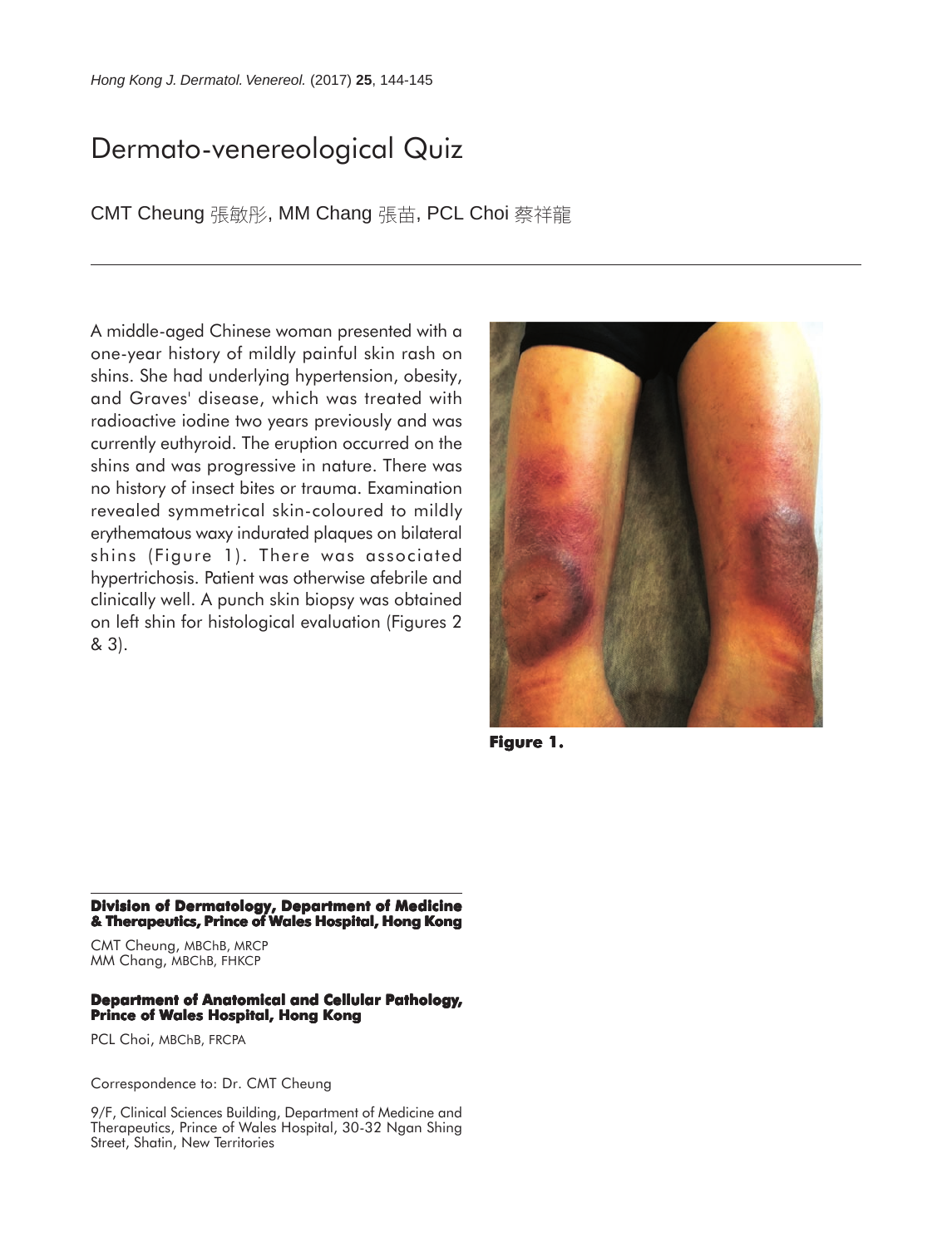## Dermato-venereological Quiz

CMT Cheung 張敏彤, MM Chang 張苗, PCL Choi 蔡祥龍

A middle-aged Chinese woman presented with a one-year history of mildly painful skin rash on shins. She had underlying hypertension, obesity, and Graves' disease, which was treated with radioactive iodine two years previously and was currently euthyroid. The eruption occurred on the shins and was progressive in nature. There was no history of insect bites or trauma. Examination revealed symmetrical skin-coloured to mildly erythematous waxy indurated plaques on bilateral shins (Figure 1). There was associated hypertrichosis. Patient was otherwise afebrile and clinically well. A punch skin biopsy was obtained on left shin for histological evaluation (Figures 2 & 3).



**Figure 1. 1.**

**Division of Dermatology, Department of Medicine & Therapeutics, Prince of Wales Hospital, Hong Kong**

CMT Cheung, MBChB, MRCP MM Chang, MBChB, FHKCP

## **Department of Anatomical and Cellular Pathology, Prince of Wales Hospital, Hong Kong**

PCL Choi, MBChB, FRCPA

Correspondence to: Dr. CMT Cheung

9/F, Clinical Sciences Building, Department of Medicine and Therapeutics, Prince of Wales Hospital, 30-32 Ngan Shing Street, Shatin, New Territories